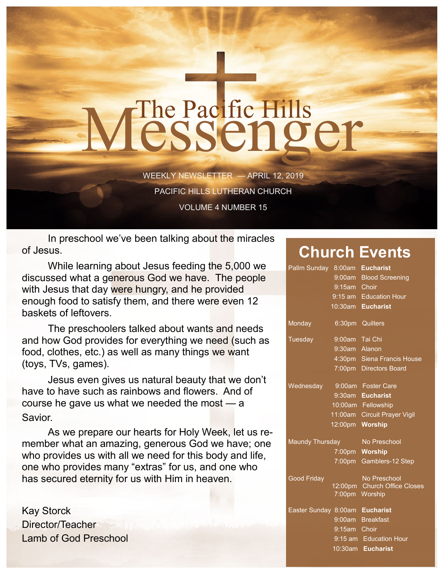## The Pacific Hills<br>CSSCNQCT

WEEKLY NEWSLETTER — APRIL 12, 2019 PACIFIC HILLS LUTHERAN CHURCH VOLUME 4 NUMBER 15

In preschool we've been talking about the miracles of Jesus.

While learning about Jesus feeding the 5,000 we discussed what a generous God we have. The people with Jesus that day were hungry, and he provided enough food to satisfy them, and there were even 12 baskets of leftovers.

The preschoolers talked about wants and needs and how God provides for everything we need (such as food, clothes, etc.) as well as many things we want (toys, TVs, games).

Jesus even gives us natural beauty that we don't have to have such as rainbows and flowers. And of course he gave us what we needed the most — a Savior.

As we prepare our hearts for Holy Week, let us remember what an amazing, generous God we have; one who provides us with all we need for this body and life, one who provides many "extras" for us, and one who has secured eternity for us with Him in heaven.

Kay Storck Director/Teacher Lamb of God Preschool

## **Church Events**

| Pallm Sunday                   | 8:00am         | <b>Eucharist</b>             |
|--------------------------------|----------------|------------------------------|
|                                |                | 9:00am Blood Screening       |
|                                | 9:15am Choir   |                              |
|                                |                | 9:15 am Education Hour       |
|                                |                | 10:30am Eucharist            |
| Monday                         | 6:30pm         | Quilters                     |
| Tuesday                        | 9:00am Tai Chi |                              |
|                                | 9:30am Alanon  |                              |
|                                |                | 4:30pm Siena Francis House   |
|                                |                | 7:00pm Directors Board       |
| Wednesday                      |                | 9:00am Foster Care           |
|                                | $9:30$ am      | <b>Eucharist</b>             |
|                                |                | 10:00am Fellowship           |
|                                |                | 11:00am Circuit Prayer Vigil |
|                                | 12:00pm        | <b>Worship</b>               |
| Maundy Thursday                |                | No Preschool                 |
|                                | $7:00$ pm      | <b>Worship</b>               |
|                                | 7:00pm         | Gamblers-12 Step             |
| <b>Good Friday</b>             |                | No Preschool                 |
|                                |                | 12:00pm Church Office Closes |
|                                | $7:00$ pm      | Worship                      |
| Easter Sunday 8:00am Eucharist |                |                              |
|                                |                | 9:00am Breakfast             |
|                                | 9:15am Choir   |                              |
|                                |                | 9:15 am Education Hour       |
|                                |                | 10:30am Eucharist            |